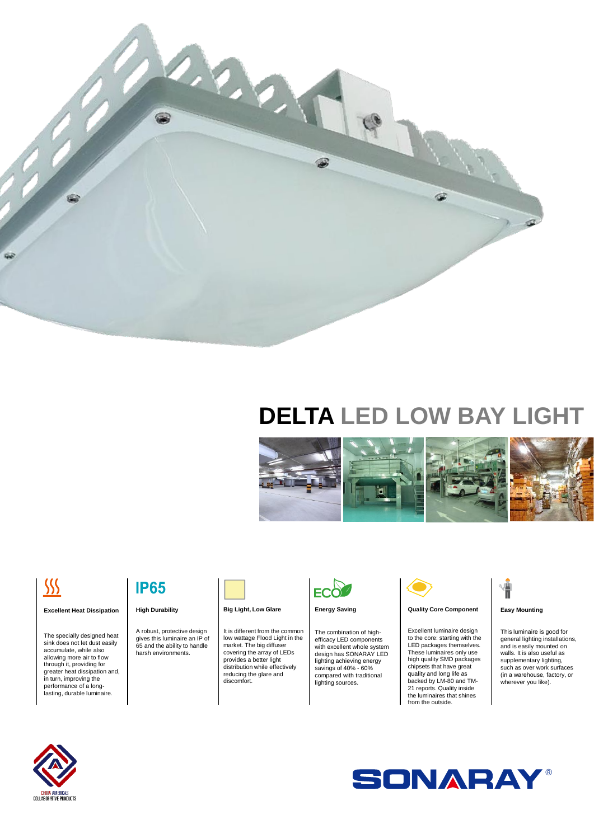

# **DELTA LED LOW BAY LIGHT**



# $\frac{\sqrt{2}}{2}$

#### **Excellent Heat Dissipation**

The specially designed heat sink does not let dust easily accumulate, while also allowing more air to flow through it, providing for greater heat dissipation and, in turn, improving the performance of a long-lasting, durable luminaire.

### **IP65**

#### **High Durability**

A robust, protective design gives this luminaire an IP of 65 and the ability to handle harsh environments.



#### **Big Light, Low Glare**

It is different from the common low wattage Flood Light in the market. The big diffuser covering the array of LEDs provides a better light distribution while effectively reducing the glare and discomfort.



#### **Energy Saving**

The combination of highefficacy LED components with excellent whole system design has SONARAY LED lighting achieving energy savings of 40% - 60% compared with traditional lighting sources.



#### **Quality Core Component**

Excellent luminaire design to the core: starting with the LED packages themselves. These luminaires only use high quality SMD packages chipsets that have great quality and long life as backed by LM-80 and TM-21 reports. Quality inside the luminaires that shines from the outside.

# Ť

#### **Easy Mounting**

This luminaire is good for general lighting installations, and is easily mounted on walls. It is also useful as supplementary lighting, such as over work surfaces (in a warehouse, factory, or wherever you like).



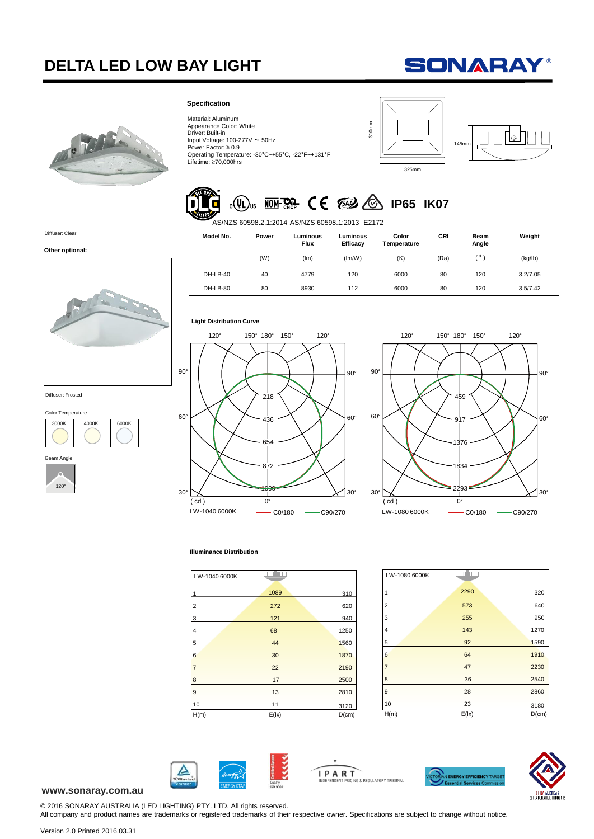## **DELTA LED LOW BAY LIGHT**





Color Temperature

Diffuser: Frosted

**Other optional:**

4000K 6000K

°

Beam Angle

3000K

#### **Specification**

Material: Aluminum Appearance Color: White Driver: Built-in Input Voltage:  $100-277V \approx 50Hz$ Power Factor: ≥ 0.9 Operating Temperature: -30°C~+55°C, -22°F~+131°F Lifetime: ≥70,000hrs







| Appearance Color: White<br>Driver: Built-in<br>Input Voltage: $100-277V \sim 50Hz$<br>Power Factor: $\geq 0.9$<br>Lifetime: ≥70,000hrs |                                       | Operating Temperature: -30°C~+55°C, -22°F~+131°F | 310mm                | 325mm                                |      | <b>145mm</b>         | ⊚        |
|----------------------------------------------------------------------------------------------------------------------------------------|---------------------------------------|--------------------------------------------------|----------------------|--------------------------------------|------|----------------------|----------|
|                                                                                                                                        |                                       |                                                  |                      |                                      |      |                      |          |
|                                                                                                                                        | $(\mathbf{U}_\mathsf{L})_\mathsf{us}$ | AS/NZS 60598.2.1:2014 AS/NZS 60598.1:2013 E2172  |                      | <b>WINKER CE EAS &amp; IP65 IK07</b> |      |                      |          |
| Model No.                                                                                                                              | Power                                 | Luminous<br><b>Flux</b>                          | Luminous<br>Efficacy | Color<br>Temperature                 | CRI  | <b>Beam</b><br>Angle | Weight   |
|                                                                                                                                        | (W)                                   | (lm)                                             | (lm/W)               | (K)                                  | (Ra) | (°)                  | (kg/lb)  |
| DH-LB-40                                                                                                                               | 40                                    | 4779                                             | 120                  | 6000                                 | 80   | 120                  | 3.2/7.05 |

#### **Light Distribution Curve**





#### **Illuminance Distribution**

| LW-1040 6000K  | ستان الس |          |
|----------------|----------|----------|
| 1              | 1089     | 310      |
| $\overline{2}$ | 272      | 620      |
| 3              | 121      | 940      |
| 4              | 68       | 1250     |
| 5              | 44       | 1560     |
| 6              | 30       | 1870     |
| $\overline{7}$ | 22       | 2190     |
| 8              | 17       | 2500     |
| 9              | 13       | 2810     |
| 10             | 11       | 3120     |
| H(m)           | E(1x)    | $D$ (cm) |

| LW-1080 6000K  | لانتنا أألانية |       |
|----------------|----------------|-------|
| 1              | 2290           | 320   |
| 2              | 573            | 640   |
| 3              | 255            | 950   |
| $\overline{4}$ | 143            | 1270  |
| 5              | 92             | 1590  |
| $6\phantom{a}$ | 64             | 1910  |
| 7              | 47             | 2230  |
| 8              | 36             | 2540  |
| 9              | 28             | 2860  |
| 10             | 23             | 3180  |
| H(m)           | E(1x)          | D(cm) |



**IPART** ■<br>CING & REGULATORY TRIBUNAL



#### **www.sonaray.com.au**

© 2016 SONARAY AUSTRALIA (LED LIGHTING) PTY. LTD. All rights reserved. All company and product names are trademarks or registered trademarks of their respective owner. Specifications are subject to change without notice.

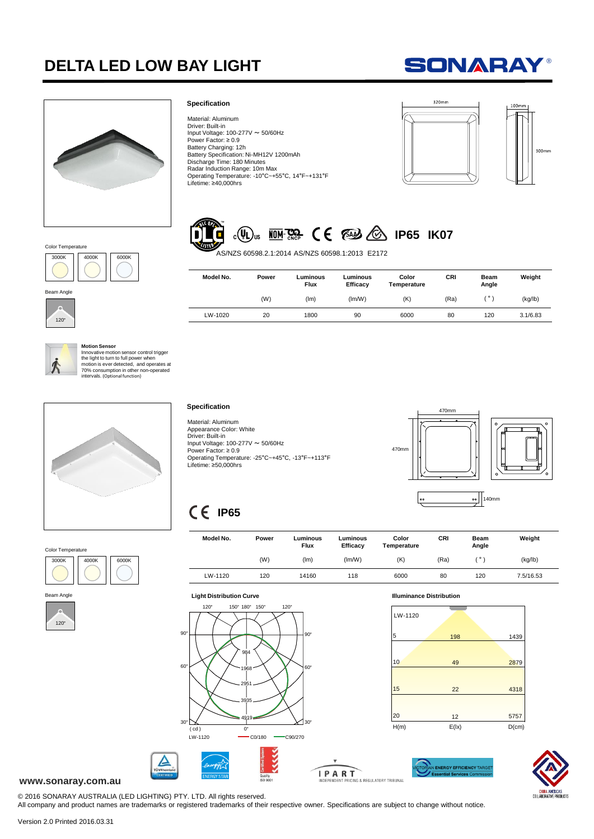## **DELTA LED LOW BAY LIGHT**

# **SONARAY®**



4000K 6000K

#### **Specification**

Material: Aluminum Driver: Built-in Input Voltage:  $100-277V \approx 50/60Hz$ Power Factor: ≥ 0.9 Battery Charging: 12h Battery Specification: Ni-MH12V 1200mAh Discharge Time: 180 Minutes Radar Induction Range: 10m Max Operating Temperature: -10°C~+55°C, 14°F~+131°F Lifetime: ≥40,000hrs



# **ID<sub>15</sub> IDI-322** C E EAN CO IP65 IK07

AS/NZS 60598.2.1:2014 AS/NZS 60598.1:2013 E2172

| Model No. | Power | Luminous<br><b>Flux</b> | Luminous<br>Efficacy | Color<br>Temperature | CRI  | <b>Beam</b><br>Angle | Weight   |
|-----------|-------|-------------------------|----------------------|----------------------|------|----------------------|----------|
|           | (W)   | (lm)                    | (lm/W)               | (K)                  | (Ra) | $\circ$              | (kg/lb)  |
| LW-1020   | 20    | 1800                    | 90                   | 6000                 | 80   | 120                  | 3.1/6.83 |



120°

Beam Angle

3000k

Color Temperature

**Motion Sensor**<br>
Innovative motion sensor control trigger<br>
the light to turn to full power when<br>
motion is ever detected, and operates at<br>
70% consumption in other non-operated<br>
intervals. (Optional function)



#### Color Temperature 4000K 6000K 3000K



#### **Specification**

Material: Aluminum Appearance Color: White Driver: Built-in Input Voltage: 100-277V ~ 50/60Hz Power Factor: ≥ 0.9 Operating Temperature: -25°C~+45°C, -13°F~+113°F Lifetime: ≥50,000hrs



## **IP65**

| Model No. | Power | Luminous<br><b>Flux</b> | Luminous<br>Efficacy | Color<br>Temperature | CRI  | Beam<br>Angle | Weight    |
|-----------|-------|-------------------------|----------------------|----------------------|------|---------------|-----------|
|           | (W)   | (lm)                    | (lm/W)               | (K)                  | (Ra) | $\circ$       | (kg/lb)   |
| LW-1120   | 120   | 14160                   | 118                  | 6000                 | 80   | 120           | 7.5/16.53 |





۰.



**ENERGY EFFICIENCY TARGE** IPART NG & REGULATORY TRIBUNAL



#### **www.sonaray.com.au**

© 2016 SONARAY AUSTRALIA (LED LIGHTING) PTY. LTD. All rights reserved.

All company and product names are trademarks or registered trademarks of their respective owner. Specifications are subject to change without notice.